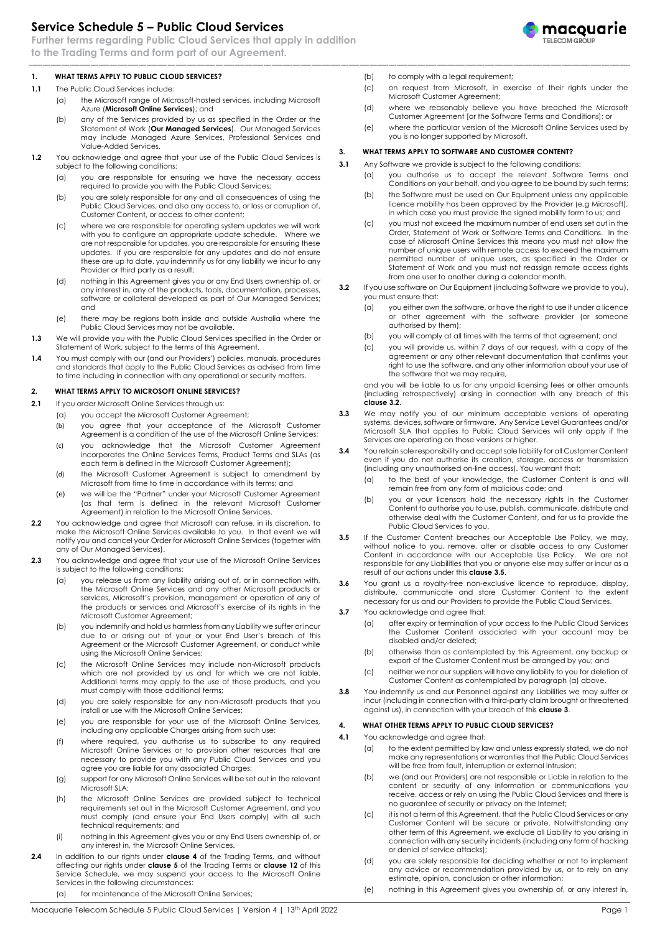# **Service Schedule 5 – Public Cloud Services**

**Further terms regarding Public Cloud Services that apply in addition to the Trading Terms and form part of our Agreement.**



# **1. WHAT TERMS APPLY TO PUBLIC CLOUD SERVICES?**

- <span id="page-0-4"></span><span id="page-0-3"></span>**1.1** The Public Cloud Services include:
	- (a) the Microsoft range of Microsoft-hosted services, including Microsoft Azure (**Microsoft Online Services**); and
	- (b) any of the Services provided by us as specified in the Order or the Statement of Work (**Our Managed Services**). Our Managed Services may include Managed Azure Services, Professional Services and Value-Added Services.
- **1.2** You acknowledge and agree that your use of the Public Cloud Services is subject to the following conditions:
	- (a) you are responsible for ensuring we have the necessary access required to provide you with the Public Cloud Services;
	- (b) you are solely responsible for any and all consequences of using the Public Cloud Services, and also any access to, or loss or corruption of, Customer Content, or access to other content;
	- (c) where we are responsible for operating system updates we will work with you to configure an appropriate update schedule. Where we are not responsible for updates, you are responsible for ensuring these updates. If you are responsible for any updates and do not ensure these are up to date, you indemnify us for any liability we incur to any Provider or third party as a result;
	- (d) nothing in this Agreement gives you or any End Users ownership of, or any interest in, any of the products, tools, documentation, processes, software or collateral developed as part of Our Managed Services; and
	- (e) there may be regions both inside and outside Australia where the Public Cloud Services may not be available.
- **1.3** We will provide you with the Public Cloud Services specified in the Order or Statement of Work, subject to the terms of this Agreement.
- **1.4** You must comply with our (and our Providers') policies, manuals, procedures and standards that apply to the Public Cloud Services as advised from time to time including in connection with any operational or security matters.

### **2. WHAT TERMS APPLY TO MICROSOFT ONLINE SERVICES?**

- **2.1** If you order Microsoft Online Services through us:
	- (a) you accept the Microsoft Customer Agreement;
	- (b) you agree that your acceptance of the Microsoft Customer Agreement is a condition of the use of the Microsoft Online Services;
	- (c) you acknowledge that the Microsoft Customer Agreement incorporates the Online Services Terms, Product Terms and SLAs (as each term is defined in the Microsoft Customer Agreement);
	- (d) the Microsoft Customer Agreement is subject to amendment by Microsoft from time to time in accordance with its terms; and
	- (e) we will be the "Partner" under your Microsoft Customer Agreement (as that term is defined in the relevant Microsoft Customer Agreement) in relation to the Microsoft Online Services.
- **2.2** You acknowledge and agree that Microsoft can refuse, in its discretion, to make the Microsoft Online Services available to you. In that event we will notify you and cancel your Order for Microsoft Online Services (together with any of Our Managed Services).
- **2.3** You acknowledge and agree that your use of the Microsoft Online Services is subject to the following conditions:
	- (a) you release us from any liability arising out of, or in connection with, the Microsoft Online Services and any other Microsoft products or services, Microsoft's provision, management or operation of any of the products or services and Microsoft's exercise of its rights in the Microsoft Customer Agreement;
	- (b) you indemnify and hold us harmless from any Liability we suffer or incur due to or arising out of your or your End User's breach of this Agreement or the Microsoft Customer Agreement, or conduct while using the Microsoft Online Services;
	- (c) the Microsoft Online Services may include non-Microsoft products which are not provided by us and for which we are not liable. Additional terms may apply to the use of those products, and you must comply with those additional terms;
	- (d) you are solely responsible for any non-Microsoft products that you install or use with the Microsoft Online Services;
	- (e) you are responsible for your use of the Microsoft Online Services, including any applicable Charges arising from such use;
	- (f) where required, you authorise us to subscribe to any required Microsoft Online Services or to provision other resources that are necessary to provide you with any Public Cloud Services and you agree you are liable for any associated Charges;
	- (g) support for any Microsoft Online Services will be set out in the relevant Microsoft SLA;
	- (h) the Microsoft Online Services are provided subject to technical requirements set out in the Microsoft Customer Agreement, and you must comply (and ensure your End Users comply) with all such technical requirements; and
	- (i) nothing in this Agreement gives you or any End Users ownership of, or any interest in, the Microsoft Online Services.
- **2.4** In addition to our rights under **clause 4** of the Trading Terms, and without affecting our rights under **clause 5** of the Trading Terms or **clause [12](#page-2-0)** of this Service Schedule, we may suspend your access to the Microsoft Online Services in the following circumstances:

(a) for maintenance of the Microsoft Online Services;

- (c) on request from Microsoft, in exercise of their rights under the Microsoft Customer Agreement;
- (d) where we reasonably believe you have breached the Microsoft Customer Agreement [or the Software Terms and Conditions]; or
	- (e) where the particular version of the Microsoft Online Services used by you is no longer supported by Microsoft.

## <span id="page-0-2"></span>**3. WHAT TERMS APPLY TO SOFTWARE AND CUSTOMER CONTENT?**

- **3.1** Any Software we provide is subject to the following conditions:
	- (a) you authorise us to accept the relevant Software Terms and Conditions on your behalf, and you agree to be bound by such terms;
	- (b) the Software must be used on Our Equipment unless any applicable licence mobility has been approved by the Provider (e.g Microsoft), in which case you must provide the signed mobility form to us; and
	- (c) you must not exceed the maximum number of end users set out in the Order, Statement of Work or Software Terms and Conditions. In the case of Microsoft Online Services this means you must not allow the number of unique users with remote access to exceed the maximum permitted number of unique users, as specified in the Order or Statement of Work and you must not reassign remote access rights from one user to another during a calendar month.
- <span id="page-0-0"></span>**3.2** If you use software on Our Equipment (including Software we provide to you), you must ensure that:
	- (a) you either own the software, or have the right to use it under a licence or other agreement with the software provider (or someone authorised by them);
	- (b) you will comply at all times with the terms of that agreement; and
	- (c) you will provide us, within 7 days of our request, with a copy of the agreement or any other relevant documentation that confirms your right to use the software, and any other information about your use of the software that we may require,

and you will be liable to us for any unpaid licensing fees or other amounts (including retrospectively) arising in connection with any breach of this **clause [3.2](#page-0-0)**.

- **3.3** We may notify you of our minimum acceptable versions of operating systems, devices, software or firmware. Any Service Level Guarantees and/or Microsoft SLA that applies to Public Cloud Services will only apply if the Services are operating on those versions or higher.
- **3.4** You retain sole responsibility and accept sole liability for all Customer Content even if you do not authorise its creation, storage, access or transmission (including any unauthorised on-line access). You warrant that:
	- (a) to the best of your knowledge, the Customer Content is and will remain free from any form of malicious code; and
	- (b) you or your licensors hold the necessary rights in the Customer Content to authorise you to use, publish, communicate, distribute and otherwise deal with the Customer Content, and for us to provide the Public Cloud Services to you.
- <span id="page-0-1"></span>**3.5** If the Customer Content breaches our Acceptable Use Policy, we may, without notice to you, remove, alter or disable access to any Customer Content in accordance with our Acceptable Use Policy. We are not responsible for any Liabilities that you or anyone else may suffer or incur as a result of our actions under this **clause [3.5](#page-0-1)**.
- **3.6** You grant us a royalty-free non-exclusive licence to reproduce, display, distribute, communicate and store Customer Content to the extent necessary for us and our Providers to provide the Public Cloud Services.
- **3.7** You acknowledge and agree that:
	- (a) after expiry or termination of your access to the Public Cloud Services the Customer Content associated with your account may be disabled and/or deleted;
	- (b) otherwise than as contemplated by this Agreement, any backup or export of the Customer Content must be arranged by you; and
	- (c) neither we nor our suppliers will have any liability to you for deletion of Customer Content as contemplated by paragraph (a) above.
- **3.8** You indemnify us and our Personnel against any Liabilities we may suffer or incur (including in connection with a third-party claim brought or threatened against us), in connection with your breach of this **clause [3](#page-0-2)**.

#### **4. WHAT OTHER TERMS APPLY TO PUBLIC CLOUD SERVICES?**

- **4.1** You acknowledge and agree that:
	- (a) to the extent permitted by law and unless expressly stated, we do not make any representations or warranties that the Public Cloud Services will be free from fault, interruption or external intrusion;
	- (b) we (and our Providers) are not responsible or Liable in relation to the content or security of any information or communications you receive, access or rely on using the Public Cloud Services and there is no guarantee of security or privacy on the Internet;
	- (c) it is not a term of this Agreement, that the Public Cloud Services or any Customer Content will be secure or private. Notwithstanding any other term of this Agreement, we exclude all Liability to you arising in connection with any security incidents (including any form of hacking or denial of service attacks);
	- (d) you are solely responsible for deciding whether or not to implement any advice or recommendation provided by us, or to rely on any estimate, opinion, conclusion or other information;
	- (e) nothing in this Agreement gives you ownership of, or any interest in,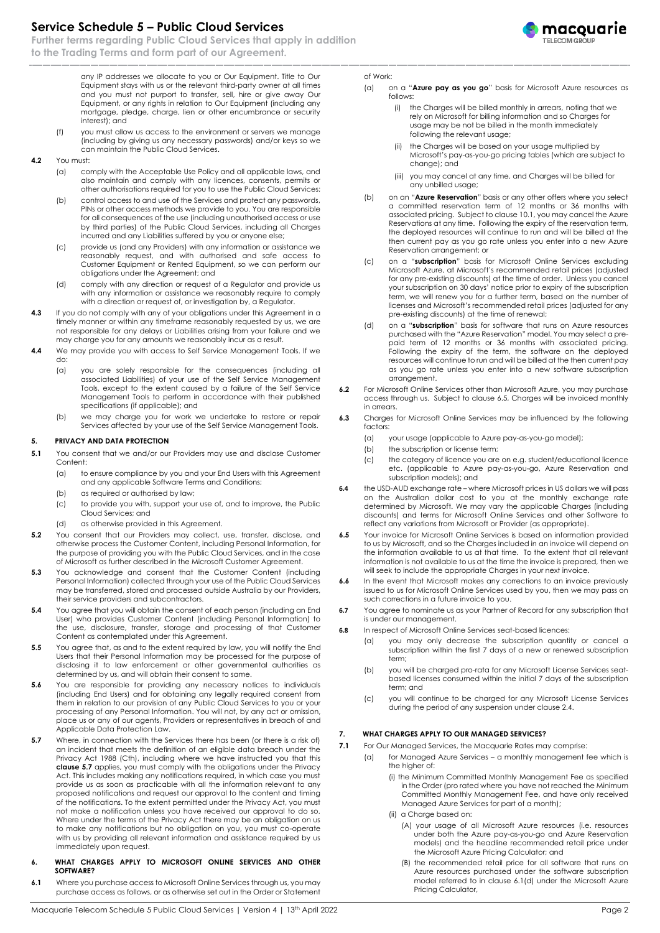# **Service Schedule 5 – Public Cloud Services**

**Further terms regarding Public Cloud Services that apply in addition to the Trading Terms and form part of our Agreement.**

macquarie

any IP addresses we allocate to you or Our Equipment. Title to Our Equipment stays with us or the relevant third-party owner at all times and you must not purport to transfer, sell, hire or give away Our Equipment, or any rights in relation to Our Equipment (including any mortgage, pledge, charge, lien or other encumbrance or security interest); and

- (f) you must allow us access to the environment or servers we manage (including by giving us any necessary passwords) and/or keys so we can maintain the Public Cloud Services.
- **4.2** You must:
	- (a) comply with the Acceptable Use Policy and all applicable laws, and also maintain and comply with any licences, consents, permits or other authorisations required for you to use the Public Cloud Services;
	- (b) control access to and use of the Services and protect any passwords, PINs or other access methods we provide to you. You are responsible for all consequences of the use (including unauthorised access or use by third parties) of the Public Cloud Services, including all Charges incurred and any Liabilities suffered by you or anyone else;
	- (c) provide us (and any Providers) with any information or assistance we reasonably request, and with authorised and safe access to Customer Equipment or Rented Equipment, so we can perform our obligations under the Agreement; and
	- (d) comply with any direction or request of a Regulator and provide us with any information or assistance we reasonably require to comply with a direction or request of, or investigation by, a Regulator.
- **4.3** If you do not comply with any of your obligations under this Agreement in a timely manner or within any timeframe reasonably requested by us, we are not responsible for any delays or Liabilities arising from your failure and we may charge you for any amounts we reasonably incur as a result.
- **4.4** We may provide you with access to Self Service Management Tools. If we do:
	- (a) you are solely responsible for the consequences (including all associated Liabilities) of your use of the Self Service Management Tools, except to the extent caused by a failure of the Self Service Management Tools to perform in accordance with their published specifications (if applicable); and
	- (b) we may charge you for work we undertake to restore or repair Services affected by your use of the Self Service Management Tools.

### **5. PRIVACY AND DATA PROTECTION**

- **5.1** You consent that we and/or our Providers may use and disclose Customer Content:
	- (a) to ensure compliance by you and your End Users with this Agreement and any applicable Software Terms and Conditions;
	- (b) as required or authorised by law;
	- (c) to provide you with, support your use of, and to improve, the Public Cloud Services; and
	- (d) as otherwise provided in this Agreement.
- **5.2** You consent that our Providers may collect, use, transfer, disclose, and otherwise process the Customer Content, including Personal Information, for the purpose of providing you with the Public Cloud Services, and in the case of Microsoft as further described in the Microsoft Customer Agreement.
- **5.3** You acknowledge and consent that the Customer Content (including Personal Information) collected through your use of the Public Cloud Services may be transferred, stored and processed outside Australia by our Providers, their service providers and subcontractors.
- **5.4** You agree that you will obtain the consent of each person (including an End User) who provides Customer Content (including Personal Information) to the use, disclosure, transfer, storage and processing of that Customer Content as contemplated under this Agreement.
- **5.5** You agree that, as and to the extent required by law, you will notify the End Users that their Personal Information may be processed for the purpose of disclosing it to law enforcement or other governmental authorities as determined by us, and will obtain their consent to same.
- **5.6** You are responsible for providing any necessary notices to individuals (including End Users) and for obtaining any legally required consent from them in relation to our provision of any Public Cloud Services to you or your processing of any Personal Information. You will not, by any act or omission, place us or any of our agents, Providers or representatives in breach of and Applicable Data Protection Law.
- **5.7** Where, in connection with the Services there has been (or there is a risk of) an incident that meets the definition of an eligible data breach under the Privacy Act 1988 (Cth), including where we have instructed you that this **clause 5.7** applies, you must comply with the obligations under the Privacy Act. This includes making any notifications required, in which case you must provide us as soon as practicable with all the information relevant to any proposed notifications and request our approval to the content and timing of the notifications. To the extent permitted under the Privacy Act, you must not make a notification unless you have received our approval to do so. Where under the terms of the Privacy Act there may be an obligation on us to make any notifications but no obligation on you, you must co-operate with us by providing all relevant information and assistance required by us immediately upon request.
- **6. WHAT CHARGES APPLY TO MICROSOFT ONLINE SERVICES AND OTHER SOFTWARE?**
- **6.1** Where you purchase access to Microsoft Online Services through us, you may purchase access as follows, or as otherwise set out in the Order or Statement

#### of Work:

- (a) on a "**Azure pay as you go**" basis for Microsoft Azure resources as follows:
	- (i) the Charges will be billed monthly in arrears, noting that we rely on Microsoft for billing information and so Charges for usage may be not be billed in the month immediately following the relevant usage;
	- the Charges will be based on your usage multiplied by Microsoft's pay-as-you-go pricing tables (which are subject to change); and
	- (iii) you may cancel at any time, and Charges will be billed for any unbilled usage;
- (b) on an "**Azure Reservation**" basis or any other offers where you select a committed reservation term of 12 months or 36 months with associated pricing. Subject to claus[e 10.1,](#page-2-1) you may cancel the Azure Reservations at any time. Following the expiry of the reservation term, the deployed resources will continue to run and will be billed at the then current pay as you go rate unless you enter into a new Azure Reservation arrangement; or
- (c) on a "**subscription**" basis for Microsoft Online Services excluding Microsoft Azure, at Microsoft's recommended retail prices (adjusted for any pre-existing discounts) at the time of order. Unless you cancel your subscription on 30 days' notice prior to expiry of the subscription term, we will renew you for a further term, based on the number of licenses and Microsoft's recommended retail prices (adjusted for any pre-existing discounts) at the time of renewal;
- <span id="page-1-1"></span>(d) on a "**subscription**" basis for software that runs on Azure resources purchased with the "Azure Reservation" model. You may select a prepaid term of 12 months or 36 months with associated pricing. Following the expiry of the term, the software on the deployed resources will continue to run and will be billed at the then current pay as you go rate unless you enter into a new software subscription arrangement.
- **6.2** For Microsoft Online Services other than Microsoft Azure, you may purchase access through us. Subject to claus[e 6.5,](#page-1-0) Charges will be invoiced monthly in arrears.
- **6.3** Charges for Microsoft Online Services may be influenced by the following factors:
	- (a) your usage (applicable to Azure pay-as-you-go model);
	- (b) the subscription or license term;
	- (c) the category of licence you are on e.g. student/educational licence etc. (applicable to Azure pay-as-you-go, Azure Reservation and subscription models); and
- **6.4** the USD-AUD exchange rate where Microsoft prices in US dollars we will pass on the Australian dollar cost to you at the monthly exchange rate determined by Microsoft. We may vary the applicable Charges (including discounts) and terms for Microsoft Online Services and other Software to reflect any variations from Microsoft or Provider (as appropriate).
- <span id="page-1-0"></span>**6.5** Your invoice for Microsoft Online Services is based on information provided to us by Microsoft, and so the Charges included in an invoice will depend on the information available to us at that time. To the extent that all relevant information is not available to us at the time the invoice is prepared, then we will seek to include the appropriate Charges in your next invoice.
- **6.6** In the event that Microsoft makes any corrections to an invoice previously issued to us for Microsoft Online Services used by you, then we may pass on such corrections in a future invoice to you.
- **6.7** You agree to nominate us as your Partner of Record for any subscription that is under our management.
- **6.8** In respect of Microsoft Online Services seat-based licences:
	- (a) you may only decrease the subscription quantity or cancel a subscription within the first 7 days of a new or renewed subscription term;
	- (b) you will be charged pro-rata for any Microsoft License Services seatbased licenses consumed within the initial 7 days of the subscription term; and
	- (c) you will continue to be charged for any Microsoft License Services during the period of any suspension under clause 2.4.

### **7. WHAT CHARGES APPLY TO OUR MANAGED SERVICES?**

- **7.1** For Our Managed Services, the Macquarie Rates may comprise:
	- (a) for Managed Azure Services a monthly management fee which is the higher of:
		- (i) the Minimum Committed Monthly Management Fee as specified in the Order (pro rated where you have not reached the Minimum Committed Monthly Management Fee, and have only received Managed Azure Services for part of a month);
		- (ii) a Charge based on:
			- (A) your usage of all Microsoft Azure resources (i.e. resources under both the Azure pay-as-you-go and Azure Reservation models) and the headline recommended retail price under the Microsoft Azure Pricing Calculator; and
			- (B) the recommended retail price for all software that runs on Azure resources purchased under the software subscription model referred to in claus[e 6.1\(d\)](#page-1-1) under the Microsoft Azure Pricing Calculator,